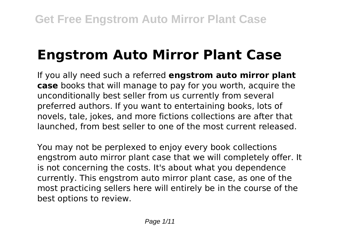# **Engstrom Auto Mirror Plant Case**

If you ally need such a referred **engstrom auto mirror plant case** books that will manage to pay for you worth, acquire the unconditionally best seller from us currently from several preferred authors. If you want to entertaining books, lots of novels, tale, jokes, and more fictions collections are after that launched, from best seller to one of the most current released.

You may not be perplexed to enjoy every book collections engstrom auto mirror plant case that we will completely offer. It is not concerning the costs. It's about what you dependence currently. This engstrom auto mirror plant case, as one of the most practicing sellers here will entirely be in the course of the best options to review.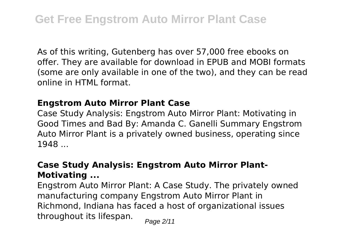As of this writing, Gutenberg has over 57,000 free ebooks on offer. They are available for download in EPUB and MOBI formats (some are only available in one of the two), and they can be read online in HTML format.

### **Engstrom Auto Mirror Plant Case**

Case Study Analysis: Engstrom Auto Mirror Plant: Motivating in Good Times and Bad By: Amanda C. Ganelli Summary Engstrom Auto Mirror Plant is a privately owned business, operating since 1948 ...

## **Case Study Analysis: Engstrom Auto Mirror Plant-Motivating ...**

Engstrom Auto Mirror Plant: A Case Study. The privately owned manufacturing company Engstrom Auto Mirror Plant in Richmond, Indiana has faced a host of organizational issues throughout its lifespan.  $P_{\text{face 2/11}}$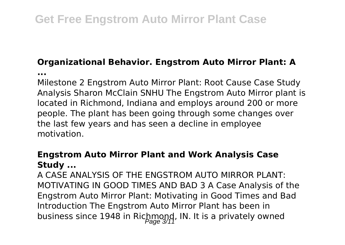# **Organizational Behavior. Engstrom Auto Mirror Plant: A**

**...**

Milestone 2 Engstrom Auto Mirror Plant: Root Cause Case Study Analysis Sharon McClain SNHU The Engstrom Auto Mirror plant is located in Richmond, Indiana and employs around 200 or more people. The plant has been going through some changes over the last few years and has seen a decline in employee motivation.

### **Engstrom Auto Mirror Plant and Work Analysis Case Study ...**

A CASE ANALYSIS OF THE ENGSTROM AUTO MIRROR PLANT: MOTIVATING IN GOOD TIMES AND BAD 3 A Case Analysis of the Engstrom Auto Mirror Plant: Motivating in Good Times and Bad Introduction The Engstrom Auto Mirror Plant has been in business since 1948 in Richmond, IN. It is a privately owned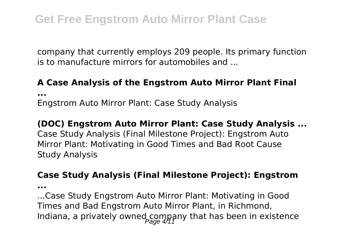company that currently employs 209 people. Its primary function is to manufacture mirrors for automobiles and ...

#### **A Case Analysis of the Engstrom Auto Mirror Plant Final**

**...**

Engstrom Auto Mirror Plant: Case Study Analysis

#### **(DOC) Engstrom Auto Mirror Plant: Case Study Analysis ...**

Case Study Analysis (Final Milestone Project): Engstrom Auto Mirror Plant: Motivating in Good Times and Bad Root Cause Study Analysis

#### **Case Study Analysis (Final Milestone Project): Engstrom**

**...**

...Case Study Engstrom Auto Mirror Plant: Motivating in Good Times and Bad Engstrom Auto Mirror Plant, in Richmond, Indiana, a privately owned company that has been in existence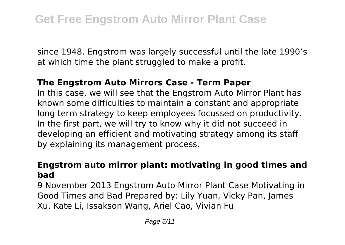since 1948. Engstrom was largely successful until the late 1990's at which time the plant struggled to make a profit.

#### **The Engstrom Auto Mirrors Case - Term Paper**

In this case, we will see that the Engstrom Auto Mirror Plant has known some difficulties to maintain a constant and appropriate long term strategy to keep employees focussed on productivity. In the first part, we will try to know why it did not succeed in developing an efficient and motivating strategy among its staff by explaining its management process.

### **Engstrom auto mirror plant: motivating in good times and bad**

9 November 2013 Engstrom Auto Mirror Plant Case Motivating in Good Times and Bad Prepared by: Lily Yuan, Vicky Pan, James Xu, Kate Li, Issakson Wang, Ariel Cao, Vivian Fu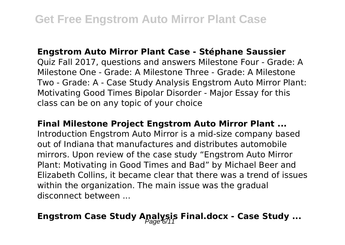#### **Engstrom Auto Mirror Plant Case - Stéphane Saussier**

Quiz Fall 2017, questions and answers Milestone Four - Grade: A Milestone One - Grade: A Milestone Three - Grade: A Milestone Two - Grade: A - Case Study Analysis Engstrom Auto Mirror Plant: Motivating Good Times Bipolar Disorder - Major Essay for this class can be on any topic of your choice

#### **Final Milestone Project Engstrom Auto Mirror Plant ...**

Introduction Engstrom Auto Mirror is a mid-size company based out of Indiana that manufactures and distributes automobile mirrors. Upon review of the case study "Engstrom Auto Mirror Plant: Motivating in Good Times and Bad" by Michael Beer and Elizabeth Collins, it became clear that there was a trend of issues within the organization. The main issue was the gradual disconnect between ...

# **Engstrom Case Study Apalysis Final.docx - Case Study ...**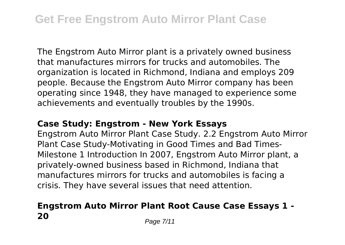The Engstrom Auto Mirror plant is a privately owned business that manufactures mirrors for trucks and automobiles. The organization is located in Richmond, Indiana and employs 209 people. Because the Engstrom Auto Mirror company has been operating since 1948, they have managed to experience some achievements and eventually troubles by the 1990s.

#### **Case Study: Engstrom - New York Essays**

Engstrom Auto Mirror Plant Case Study. 2.2 Engstrom Auto Mirror Plant Case Study-Motivating in Good Times and Bad Times-Milestone 1 Introduction In 2007, Engstrom Auto Mirror plant, a privately-owned business based in Richmond, Indiana that manufactures mirrors for trucks and automobiles is facing a crisis. They have several issues that need attention.

# **Engstrom Auto Mirror Plant Root Cause Case Essays 1 - 20** Page 7/11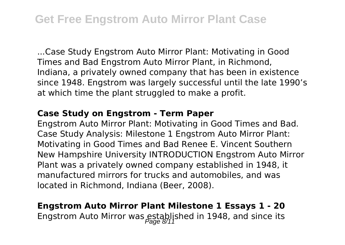...Case Study Engstrom Auto Mirror Plant: Motivating in Good Times and Bad Engstrom Auto Mirror Plant, in Richmond, Indiana, a privately owned company that has been in existence since 1948. Engstrom was largely successful until the late 1990's at which time the plant struggled to make a profit.

#### **Case Study on Engstrom - Term Paper**

Engstrom Auto Mirror Plant: Motivating in Good Times and Bad. Case Study Analysis: Milestone 1 Engstrom Auto Mirror Plant: Motivating in Good Times and Bad Renee E. Vincent Southern New Hampshire University INTRODUCTION Engstrom Auto Mirror Plant was a privately owned company established in 1948, it manufactured mirrors for trucks and automobiles, and was located in Richmond, Indiana (Beer, 2008).

# **Engstrom Auto Mirror Plant Milestone 1 Essays 1 - 20** Engstrom Auto Mirror was established in 1948, and since its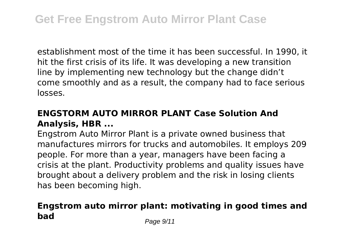establishment most of the time it has been successful. In 1990, it hit the first crisis of its life. It was developing a new transition line by implementing new technology but the change didn't come smoothly and as a result, the company had to face serious losses.

### **ENGSTORM AUTO MIRROR PLANT Case Solution And Analysis, HBR ...**

Engstrom Auto Mirror Plant is a private owned business that manufactures mirrors for trucks and automobiles. It employs 209 people. For more than a year, managers have been facing a crisis at the plant. Productivity problems and quality issues have brought about a delivery problem and the risk in losing clients has been becoming high.

# **Engstrom auto mirror plant: motivating in good times and bad** Page 9/11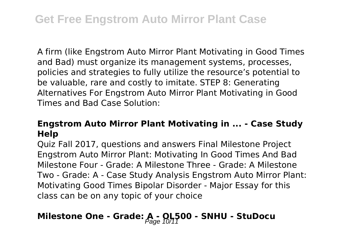A firm (like Engstrom Auto Mirror Plant Motivating in Good Times and Bad) must organize its management systems, processes, policies and strategies to fully utilize the resource's potential to be valuable, rare and costly to imitate. STEP 8: Generating Alternatives For Engstrom Auto Mirror Plant Motivating in Good Times and Bad Case Solution:

### **Engstrom Auto Mirror Plant Motivating in ... - Case Study Help**

Quiz Fall 2017, questions and answers Final Milestone Project Engstrom Auto Mirror Plant: Motivating In Good Times And Bad Milestone Four - Grade: A Milestone Three - Grade: A Milestone Two - Grade: A - Case Study Analysis Engstrom Auto Mirror Plant: Motivating Good Times Bipolar Disorder - Major Essay for this class can be on any topic of your choice

# Milestone One - Grade: A - OL<sub>7</sub>500 - SNHU - StuDocu